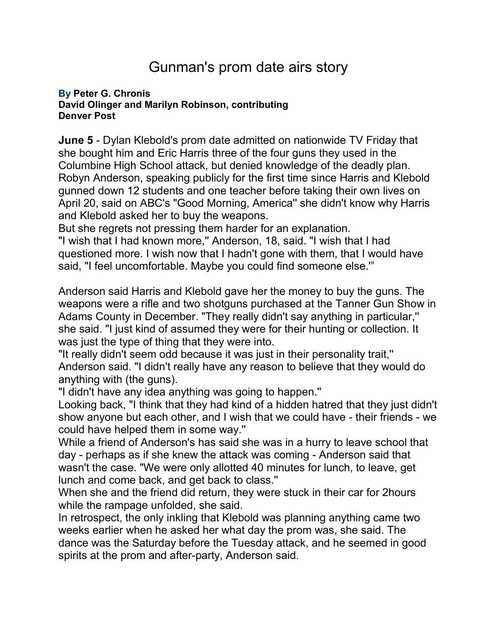## Gunman's prom date airs story

## **By [Peter G. Chronis](mailto:newsroom@denverpost.com) David Olinger and Marilyn Robinson, contributing Denver Post**

**June 5** - Dylan Klebold's prom date admitted on nationwide TV Friday that she bought him and Eric Harris three of the four guns they used in the Columbine High School attack, but denied knowledge of the deadly plan. Robyn Anderson, speaking publicly for the first time since Harris and Klebold gunned down 12 students and one teacher before taking their own lives on April 20, said on ABC's "Good Morning, America'' she didn't know why Harris and Klebold asked her to buy the weapons.

But she regrets not pressing them harder for an explanation.

"I wish that I had known more,'' Anderson, 18, said. "I wish that I had questioned more. I wish now that I hadn't gone with them, that I would have said, "I feel uncomfortable. Maybe you could find someone else.'"

Anderson said Harris and Klebold gave her the money to buy the guns. The weapons were a rifle and two shotguns purchased at the Tanner Gun Show in Adams County in December. "They really didn't say anything in particular,'' she said. "I just kind of assumed they were for their hunting or collection. It was just the type of thing that they were into.

"It really didn't seem odd because it was just in their personality trait,'' Anderson said. "I didn't really have any reason to believe that they would do anything with (the guns).

"I didn't have any idea anything was going to happen.''

Looking back, "I think that they had kind of a hidden hatred that they just didn't show anyone but each other, and I wish that we could have - their friends - we could have helped them in some way.''

While a friend of Anderson's has said she was in a hurry to leave school that day - perhaps as if she knew the attack was coming - Anderson said that wasn't the case. "We were only allotted 40 minutes for lunch, to leave, get lunch and come back, and get back to class.''

When she and the friend did return, they were stuck in their car for 2hours while the rampage unfolded, she said.

In retrospect, the only inkling that Klebold was planning anything came two weeks earlier when he asked her what day the prom was, she said. The dance was the Saturday before the Tuesday attack, and he seemed in good spirits at the prom and after-party, Anderson said.